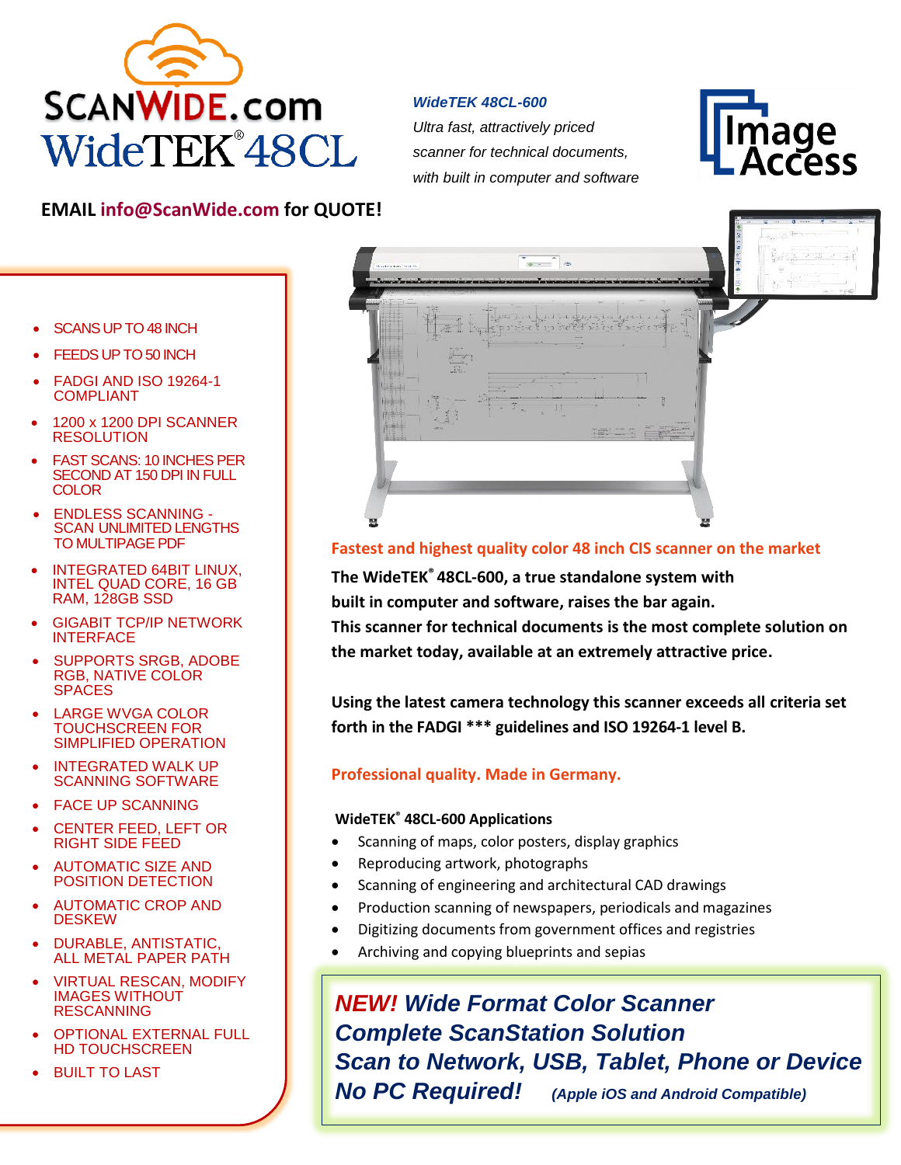

#### *WideTEK 48CL-600*

*Ultra fast, attractively priced scanner for technical documents, with built in computer and software*



## **EMAIL [info@ScanWide.com](mailto:info@ScanWide.com) for QUOTE!**

- SCANS UP TO 48 INCH
- FEEDS UP TO 50 INCH
- FADGI AND ISO 19264-1 COMPLIANT
- 1200 x 1200 DPI SCANNER RESOLUTION
- **FAST SCANS: 10 INCHES PER** SECOND AT 150 DPI IN FULL **COLOR**
- ENDLESS SCANNING SCAN UNLIMITED LENGTHS TO MULTIPAGE PDF
- INTEGRATED 64BIT LINUX, INTEL QUAD CORE, 16 GB RAM, 128GB SSD
- GIGABIT TCP/IP NETWORK INTERFACE
- SUPPORTS SRGB, ADOBE RGB, NATIVE COLOR **SPACES**
- LARGE WVGA COLOR TOUCHSCREEN FOR SIMPLIFIED OPERATION
- INTEGRATED WALK UP SCANNING SOFTWARE
- FACE UP SCANNING
- CENTER FEED, LEFT OR RIGHT SIDE FEED
- AUTOMATIC SIZE AND POSITION DETECTION
- AUTOMATIC CROP AND **DESKEW**
- DURABLE, ANTISTATIC, ALL METAL PAPER PATH
- VIRTUAL RESCAN, MODIFY IMAGES WITHOUT RESCANNING
- OPTIONAL EXTERNAL FULL HD TOUCHSCREEN
- BUILT TO LAST



## **Fastest and highest quality color 48 inch CIS scanner on the market**

**The WideTEK® 48CL-600, a true standalone system with** 

**built in computer and software, raises the bar again.** 

**This scanner for technical documents is the most complete solution on the market today, available at an extremely attractive price.**

**Using the latest camera technology this scanner exceeds all criteria set forth in the FADGI \*\*\* guidelines and ISO 19264-1 level B.**

### **Professional quality. Made in Germany.**

#### **WideTEK® 48CL-600 Applications**

- Scanning of maps, color posters, display graphics
- Reproducing artwork, photographs
- Scanning of engineering and architectural CAD drawings
- Production scanning of newspapers, periodicals and magazines
- Digitizing documents from government offices and registries
- Archiving and copying blueprints and sepias

*NEW! Wide Format Color Scanner Complete ScanStation Solution Scan to Network, USB, Tablet, Phone or Device No PC Required! (Apple iOS and Android Compatible)*